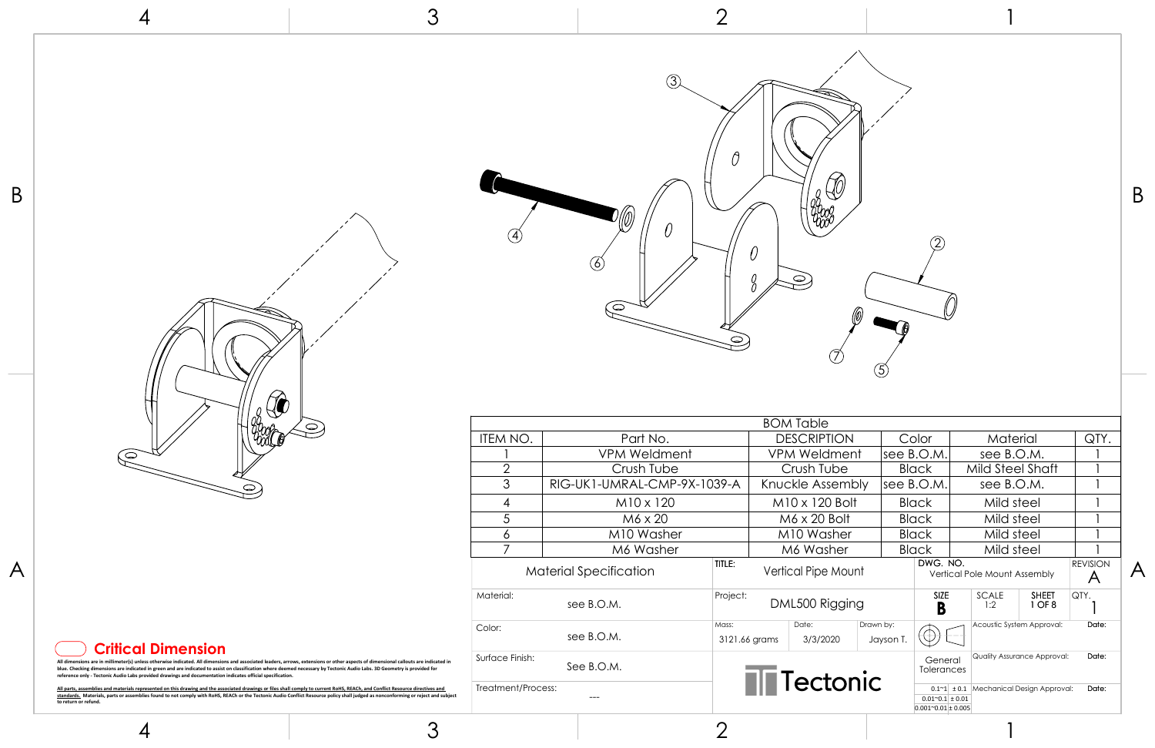

| $\emptyset$ |  |
|-------------|--|
|             |  |

4

4

3

3

2



2

1

1

|   | $\vee$<br>$\circ$                                                                                                                                                                                                                                                                                                                                                                                                                                                              |                    |                               |                        |                            |                       |                                                                                                              |                              |                         |
|---|--------------------------------------------------------------------------------------------------------------------------------------------------------------------------------------------------------------------------------------------------------------------------------------------------------------------------------------------------------------------------------------------------------------------------------------------------------------------------------|--------------------|-------------------------------|------------------------|----------------------------|-----------------------|--------------------------------------------------------------------------------------------------------------|------------------------------|-------------------------|
|   |                                                                                                                                                                                                                                                                                                                                                                                                                                                                                |                    |                               |                        | <b>BOM Table</b>           |                       |                                                                                                              |                              |                         |
|   |                                                                                                                                                                                                                                                                                                                                                                                                                                                                                | ITEM NO.           | Part No.                      |                        | <b>DESCRIPTION</b>         | Color                 | Material                                                                                                     | QTY.                         |                         |
|   | ြ                                                                                                                                                                                                                                                                                                                                                                                                                                                                              |                    | <b>VPM Weldment</b>           |                        | <b>VPM Weldment</b>        | see $B.O.M.$          | see B.O.M.                                                                                                   |                              |                         |
|   |                                                                                                                                                                                                                                                                                                                                                                                                                                                                                | $\cap$             | Crush Tube                    |                        | Crush Tube                 | <b>Black</b>          | Mild Steel Shaft                                                                                             |                              |                         |
|   | $\bigcirc$                                                                                                                                                                                                                                                                                                                                                                                                                                                                     | 3                  | RIG-UK1-UMRAL-CMP-9X-1039-A   |                        | Knuckle Assembly           | see B.O.M.            | see B.O.M.                                                                                                   |                              |                         |
|   |                                                                                                                                                                                                                                                                                                                                                                                                                                                                                | $\overline{A}$     | $M10 \times 120$              |                        | $M10 \times 120$ Bolt      | <b>Black</b>          | Mild steel                                                                                                   |                              |                         |
|   |                                                                                                                                                                                                                                                                                                                                                                                                                                                                                |                    | M6 x 20                       |                        | M6 x 20 Bolt               | <b>Black</b>          | Mild steel                                                                                                   |                              |                         |
|   |                                                                                                                                                                                                                                                                                                                                                                                                                                                                                | $\circ$            | M10 Washer                    |                        | M10 Washer                 | <b>Black</b>          | Mild steel                                                                                                   |                              |                         |
|   |                                                                                                                                                                                                                                                                                                                                                                                                                                                                                |                    | M6 Washer                     |                        | M6 Washer                  | <b>Black</b>          | Mild steel                                                                                                   |                              |                         |
| A |                                                                                                                                                                                                                                                                                                                                                                                                                                                                                |                    | <b>Material Specification</b> | TITLE:                 | <b>Vertical Pipe Mount</b> |                       | DWG. NO.<br>Vertical Pole Mount Assembly                                                                     | <b>REVISION</b><br>$\forall$ | $\overline{\mathsf{A}}$ |
|   |                                                                                                                                                                                                                                                                                                                                                                                                                                                                                | Material:          | see B.O.M.                    | Project:               | DML500 Rigging             |                       | <b>SIZE</b><br><b>SHEET</b><br>SCALE<br>1 OF 8<br>1:2<br>D<br>D                                              | <b>QTY</b>                   |                         |
|   | <b>Critical Dimension</b>                                                                                                                                                                                                                                                                                                                                                                                                                                                      | Color:             | see B.O.M.                    | Mass:<br>3121.66 grams | Date:<br>3/3/2020          | Drawn by:<br>Jayson T | Acoustic System Approval:                                                                                    | Date:                        |                         |
|   | All dimensions are in millimeter(s) unless otherwise indicated. All dimensions and associated leaders, arrows, extensions or other aspects of dimensional callouts are indicated in<br>blue. Checking dimensions are indicated in green and are indicated to assist on classification where deemed necessary by Tectonic Audio Labs. 3D Geometry is provided for<br>reference only - Tectonic Audio Labs provided drawings and documentation indicates official specification. | Surface Finish:    | See B.O.M.                    |                        | <b>Tectonic</b>            |                       | <b>Quality Assurance Approval:</b><br>General<br>Tolerances                                                  | Date:                        |                         |
|   | All parts, assemblies and materials represented on this drawing and the associated drawings or files shall comply to current RoHS, REACh, and Conflict Resource directives and<br>standards. Materials, parts or assemblies found to not comply with RoHS, REACh or the Tectonic Audio Conflict Resource policy shall judged as nonconforming or reject and subject<br>to return or refund.                                                                                    | Treatment/Process: | $\qquad \qquad \cdots$        |                        |                            |                       | $0.1 - 1 \pm 0.1$ Mechanical Design Approval:<br>$0.01^{\circ}0.1 \pm 0.01$<br>$0.001^{\circ}0.01 \pm 0.005$ | Date:                        |                         |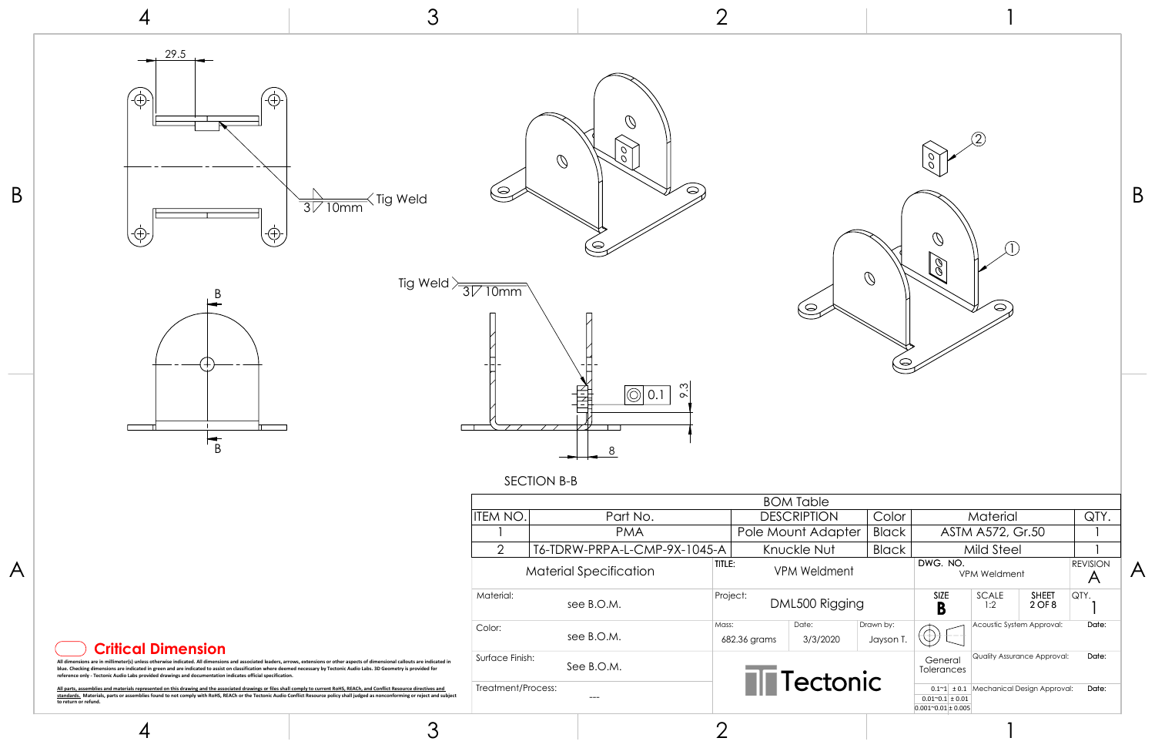

SECTION B-B









4

4

3

3

2

2

1

1

|   |                                                                                                                                                                                                                                                                                                                                                                                                                                                                                |                    |                               |                       | <b>BOM Table</b>    |                       |                                                                                                          |                 |                         |
|---|--------------------------------------------------------------------------------------------------------------------------------------------------------------------------------------------------------------------------------------------------------------------------------------------------------------------------------------------------------------------------------------------------------------------------------------------------------------------------------|--------------------|-------------------------------|-----------------------|---------------------|-----------------------|----------------------------------------------------------------------------------------------------------|-----------------|-------------------------|
|   |                                                                                                                                                                                                                                                                                                                                                                                                                                                                                | ITEM NO.           | Part No.                      |                       | <b>DESCRIPTION</b>  | Color                 | Material                                                                                                 | QTY.            |                         |
|   |                                                                                                                                                                                                                                                                                                                                                                                                                                                                                |                    | <b>PMA</b>                    |                       | Pole Mount Adapter  | <b>Black</b>          | ASTM A572, Gr.50                                                                                         |                 |                         |
|   |                                                                                                                                                                                                                                                                                                                                                                                                                                                                                | 2                  | T6-TDRW-PRPA-L-CMP-9X-1045-A  |                       | Knuckle Nut         | <b>Black</b>          | <b>Mild Steel</b>                                                                                        |                 |                         |
| A |                                                                                                                                                                                                                                                                                                                                                                                                                                                                                |                    | <b>Material Specification</b> | TITLE:                | <b>VPM Weldment</b> |                       | DWG. NO.<br><b>VPM Weldment</b>                                                                          | <b>REVISION</b> | $\overline{\mathsf{A}}$ |
|   |                                                                                                                                                                                                                                                                                                                                                                                                                                                                                | Material:          | see B.O.M.                    | Project:              | DML500 Rigging      |                       | SIZE<br><b>SHEET</b><br>SCALE<br>$2$ OF $8$<br>1:2<br>D                                                  | <b>QTY.</b>     |                         |
|   | <b>Critical Dimension</b>                                                                                                                                                                                                                                                                                                                                                                                                                                                      | Color:             | see B.O.M.                    | Mass:<br>682.36 grams | Date:<br>3/3/2020   | Drawn by:<br>Jayson 1 | Acoustic System Approval:                                                                                | Date:           |                         |
|   | All dimensions are in millimeter(s) unless otherwise indicated. All dimensions and associated leaders, arrows, extensions or other aspects of dimensional callouts are indicated in<br>blue. Checking dimensions are indicated in green and are indicated to assist on classification where deemed necessary by Tectonic Audio Labs. 3D Geometry is provided for<br>reference only - Tectonic Audio Labs provided drawings and documentation indicates official specification. | Surface Finish:    | See B.O.M.                    |                       |                     |                       | <b>Quality Assurance Approval:</b><br>General<br>Tolerances                                              | Date:           |                         |
|   | All parts, assemblies and materials represented on this drawing and the associated drawings or files shall comply to current RoHS, REACh, and Conflict Resource directives and<br>standards. Materials, parts or assemblies found to not comply with RoHS, REACh or the Tectonic Audio Conflict Resource policy shall judged as nonconforming or reject and subject<br>to return or refund.                                                                                    | Treatment/Process: | $---$                         |                       | <b>Tectonic</b>     |                       | $0.1~1$ ± 0.1 Mechanical Design Approval:<br>$0.01^{\circ}0.1 \pm 0.01$<br>$0.001^{\circ}0.01 \pm 0.005$ | Date:           |                         |

Q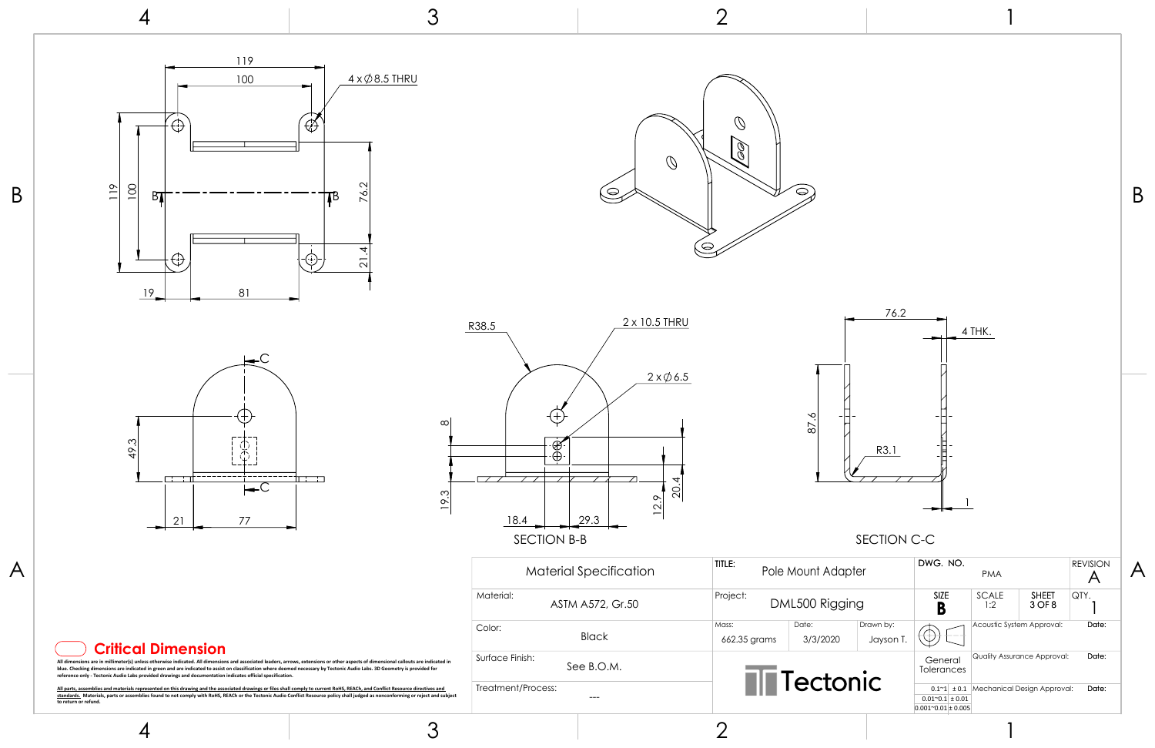

 $\mathcal{O}$  $\mathscr{E}$  $\bigcirc$  $\infty$ 







| 87.6 |  |  |
|------|--|--|
|      |  |  |

# SECTION C-C

4



3

3

2

2

1

1

|                                                                                                                                                                                                                                                                                                                                                                                                                                                                                | Material Specification        | TITLE:<br>Pole Mount Adapter                                         | DWG. NO.<br><b>PMA</b>                                                                                   | <b>REVISION</b> |
|--------------------------------------------------------------------------------------------------------------------------------------------------------------------------------------------------------------------------------------------------------------------------------------------------------------------------------------------------------------------------------------------------------------------------------------------------------------------------------|-------------------------------|----------------------------------------------------------------------|----------------------------------------------------------------------------------------------------------|-----------------|
|                                                                                                                                                                                                                                                                                                                                                                                                                                                                                | Material:<br>ASTM A572, Gr.50 | Project:<br>DML500 Rigging                                           | <b>SIZE</b><br>SCALE<br><b>SHEET</b><br>3 OF 8<br>1:2                                                    | <b>QTY.</b>     |
| <b>Critical Dimension</b>                                                                                                                                                                                                                                                                                                                                                                                                                                                      | Color:<br><b>Black</b>        | Drawn by:<br>Date:<br>Mass:<br>3/3/2020<br>662.35 grams<br>Jayson T. | Acoustic System Approval:                                                                                | Date:           |
| All dimensions are in millimeter(s) unless otherwise indicated. All dimensions and associated leaders, arrows, extensions or other aspects of dimensional callouts are indicated in<br>blue. Checking dimensions are indicated in green and are indicated to assist on classification where deemed necessary by Tectonic Audio Labs. 3D Geometry is provided for<br>reference only - Tectonic Audio Labs provided drawings and documentation indicates official specification. | Surface Finish:<br>See B.O.M. |                                                                      | Quality Assurance Approval:<br>General<br>Tolerances                                                     | Date:           |
| All parts, assemblies and materials represented on this drawing and the associated drawings or files shall comply to current RoHS, REACh, and Conflict Resource directives and<br>standards. Materials, parts or assemblies found to not comply with RoHS, REACh or the Tectonic Audio Conflict Resource policy shall judged as nonconforming or reject and subject<br>to return or refund.                                                                                    | Treatment/Process:<br>$---$   | Tectonic                                                             | $0.1~1$ ± 0.1 Mechanical Design Approval:<br>$0.01^{\circ}0.1 \pm 0.01$<br>$0.001^{\circ}0.01 \pm 0.005$ | Date:           |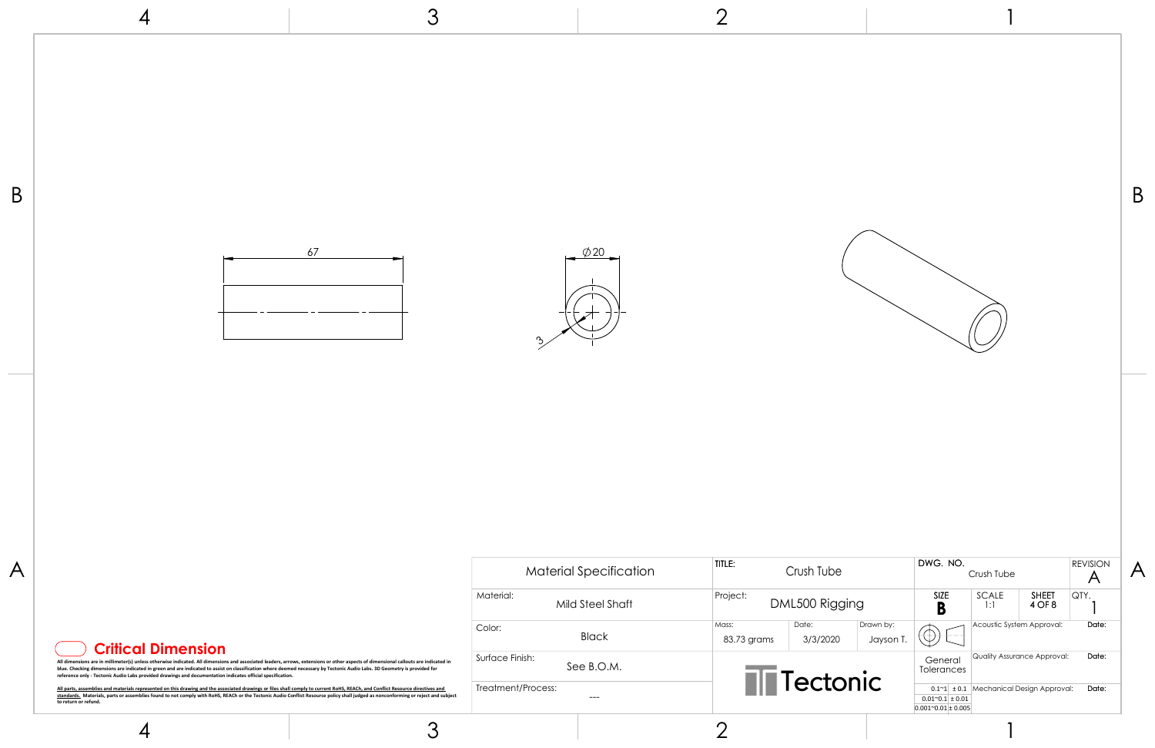4

3

2

1



| rush Tube         |                        | DWG. NO.                                                                                                  | Crush Tube                |                                                            | <b>REVISION</b><br>A |  |
|-------------------|------------------------|-----------------------------------------------------------------------------------------------------------|---------------------------|------------------------------------------------------------|----------------------|--|
| 500 Rigging       |                        | SIZE<br>B                                                                                                 | SCALE<br>1:1              | <b>SHEET</b><br>4 OF 8                                     | QTY.                 |  |
| Date:<br>3/3/2020 | Drawn by:<br>Jayson T. |                                                                                                           | Acoustic System Approval: |                                                            | Date:                |  |
| ectonic           |                        | General<br>Tolerances<br>$0.1^{\sim}1$ ± 0.1<br>$0.01^{\sim}0.1 \pm 0.01$<br>$0.001^{\sim}0.01 \pm 0.005$ |                           | Quality Assurance Approval:<br>Mechanical Design Approval: | Date:<br>Date:       |  |
|                   |                        |                                                                                                           |                           |                                                            |                      |  |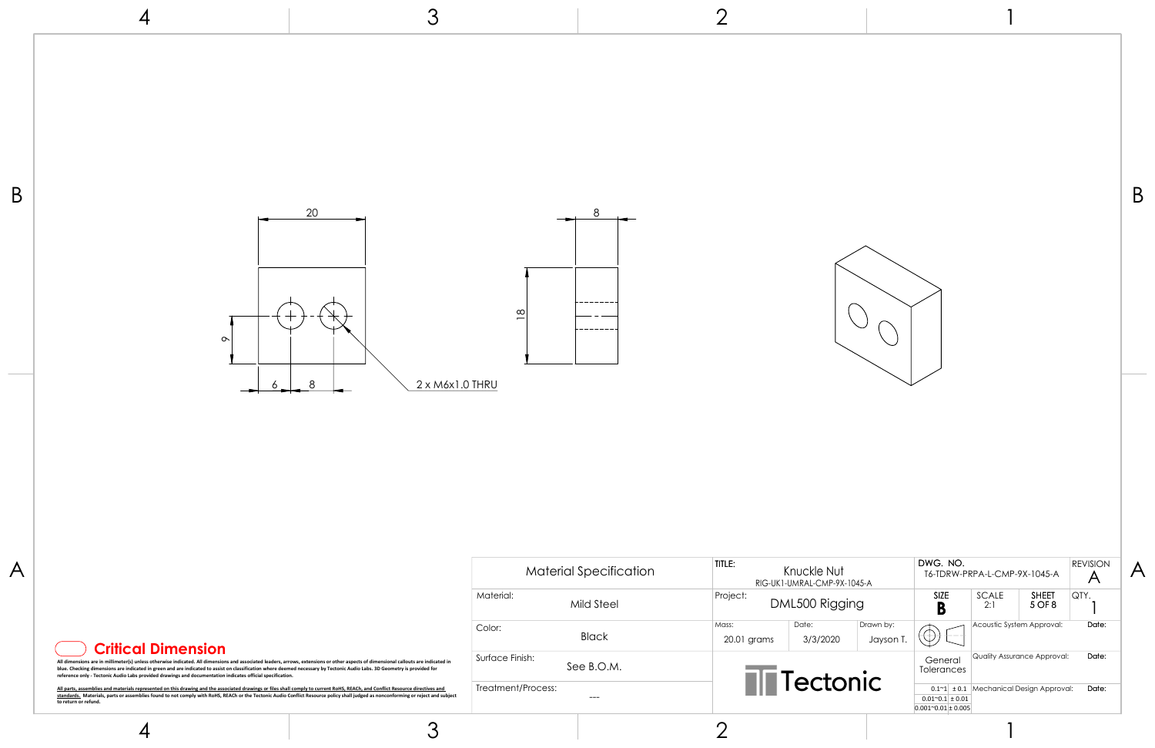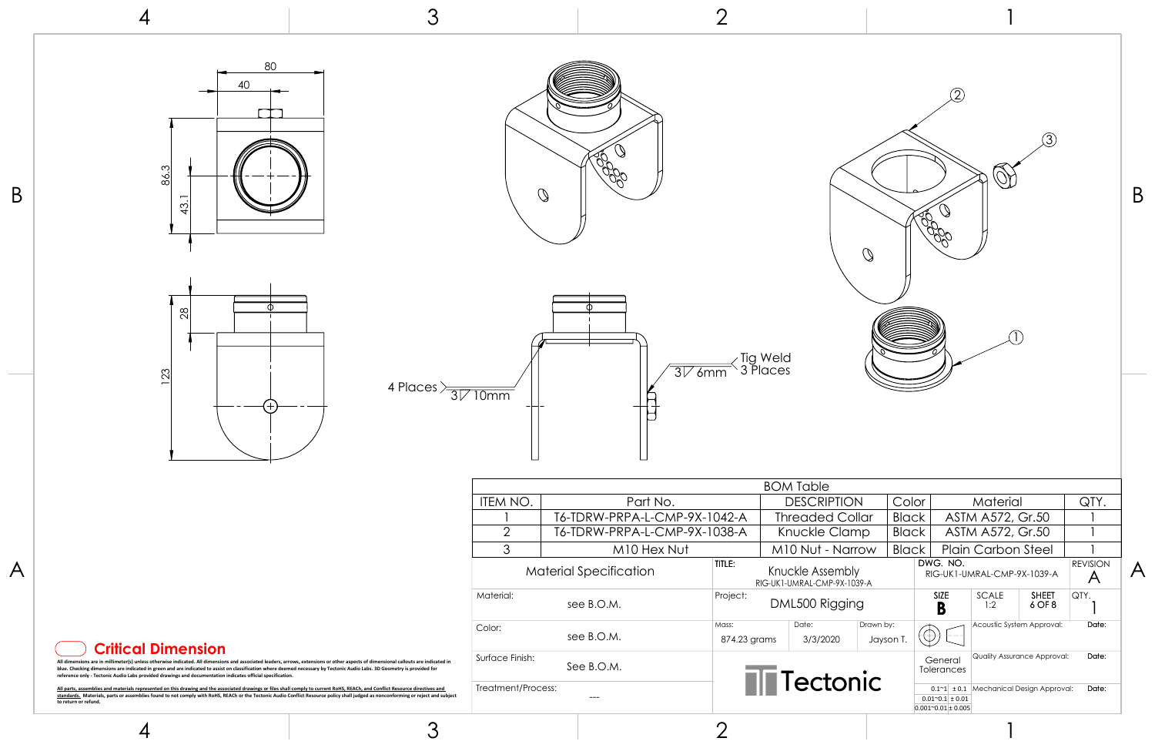









3

3

2

1

1

| $\mathsf B$ | 80<br>40<br>86.3<br>$\frac{3}{4}$<br>$\frac{8}{2}$                                                                                                                                                                                                                                                                                                                                                                                                                                                          |                    | Q                                                            |                                 | $\mathbb{Q}$                                    |                |                                                                                                            |                                            | B                       |
|-------------|-------------------------------------------------------------------------------------------------------------------------------------------------------------------------------------------------------------------------------------------------------------------------------------------------------------------------------------------------------------------------------------------------------------------------------------------------------------------------------------------------------------|--------------------|--------------------------------------------------------------|---------------------------------|-------------------------------------------------|----------------|------------------------------------------------------------------------------------------------------------|--------------------------------------------|-------------------------|
|             | 123<br>4 Places $\frac{1}{\sqrt{31/10}}$<br>$\overbrace{\phantom{aaaaa}}$                                                                                                                                                                                                                                                                                                                                                                                                                                   |                    |                                                              | $\sqrt{\frac{1}{376}}$ Tig Weld |                                                 |                |                                                                                                            |                                            |                         |
|             |                                                                                                                                                                                                                                                                                                                                                                                                                                                                                                             |                    |                                                              |                                 | <b>BOM Table</b>                                |                |                                                                                                            |                                            |                         |
|             |                                                                                                                                                                                                                                                                                                                                                                                                                                                                                                             | ITEM NO.           | Part No.                                                     |                                 | <b>DESCRIPTION</b>                              | Color          | Material                                                                                                   | QTY.                                       |                         |
|             |                                                                                                                                                                                                                                                                                                                                                                                                                                                                                                             | $\overline{2}$     | T6-TDRW-PRPA-L-CMP-9X-1042-A<br>T6-TDRW-PRPA-L-CMP-9X-1038-A |                                 | <b>Threaded Collar</b><br>Knuckle Clamp         | Black<br>Black | ASTM A572, Gr.50<br>ASTM A572, Gr.50                                                                       |                                            |                         |
|             |                                                                                                                                                                                                                                                                                                                                                                                                                                                                                                             | 3                  | M10 Hex Nut                                                  |                                 | M10 Nut - Narrow                                | Black          | <b>Plain Carbon Steel</b>                                                                                  |                                            |                         |
| A           |                                                                                                                                                                                                                                                                                                                                                                                                                                                                                                             |                    | <b>Material Specification</b>                                | TITLE:                          | Knuckle Assembly<br>RIG-UK1-UMRAL-CMP-9X-1039-A |                | DWG. NO.<br>RIG-UK1-UMRAL-CMP-9X-1039-A                                                                    | <b>REVISION</b><br>$\overline{\mathsf{A}}$ | $\overline{\mathsf{A}}$ |
|             |                                                                                                                                                                                                                                                                                                                                                                                                                                                                                                             | Material:          | see B.O.M.                                                   | Project:                        | DML500 Rigging                                  |                | SIZE<br>SCALE<br><b>SHEET</b><br>6 OF 8<br>1:2<br>B                                                        | $ QTY$ .                                   |                         |
|             |                                                                                                                                                                                                                                                                                                                                                                                                                                                                                                             | Color:             | see B.O.M.                                                   | Mass:<br>874.23 grams           | Date:<br>Drawn by:<br>3/3/2020<br>Jayson T.     | $\mathbb U$    | Acoustic System Approval:                                                                                  | Date:                                      |                         |
|             | <b>Critical Dimension</b><br>All dimensions are in millimeter(s) unless otherwise indicated. All dimensions and associated leaders, arrows, extensions or other aspects of dimensional callouts are indicated in<br>blue. Checking dimensions are indicated in green and are indicated to assist on classification where deemed necessary by Tectonic Audio Labs. 3D Geometry is provided for<br>reference only - Tectonic Audio Labs provided drawings and documentation indicates official specification. | Surface Finish:    | See B.O.M.                                                   |                                 |                                                 |                | Quality Assurance Approval:<br>General<br>Tolerances                                                       | Date:                                      |                         |
|             | All parts, assemblies and materials represented on this drawing and the associated drawings or files shall comply to current RoHS, REACh, and Conflict Resource directives and<br>standards. Materials, parts or assemblies found to not comply with RoHS, REACh or the Tectonic Audio Conflict Resource policy shall judged as nonconforming or reject and subject<br>to return or refund.                                                                                                                 | Treatment/Process: | $---$                                                        |                                 | <b>T</b> Tectonic                               |                | $0.1 - 1$ ± 0.1 Mechanical Design Approval:<br>$0.01^{\circ}0.1 \pm 0.01$<br>$0.001^{\circ}0.01 \pm 0.005$ | Date:                                      |                         |
|             | 3<br>$\overline{4}$                                                                                                                                                                                                                                                                                                                                                                                                                                                                                         |                    |                                                              | ⌒                               |                                                 |                |                                                                                                            |                                            |                         |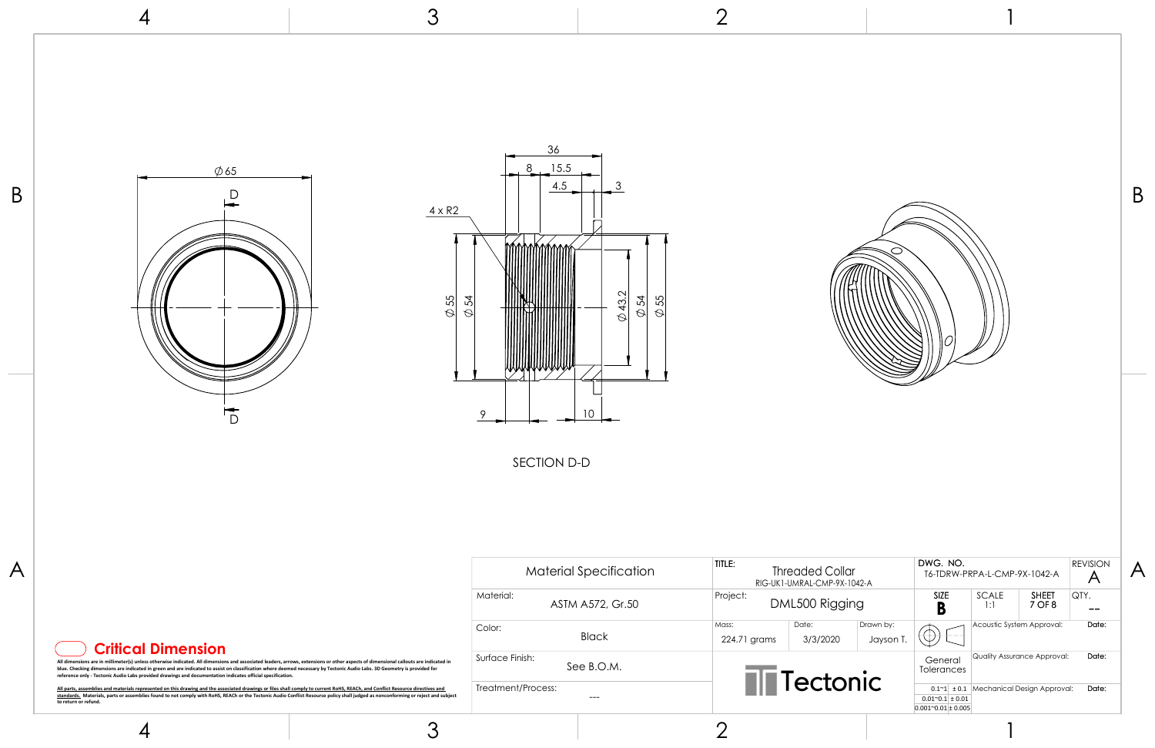